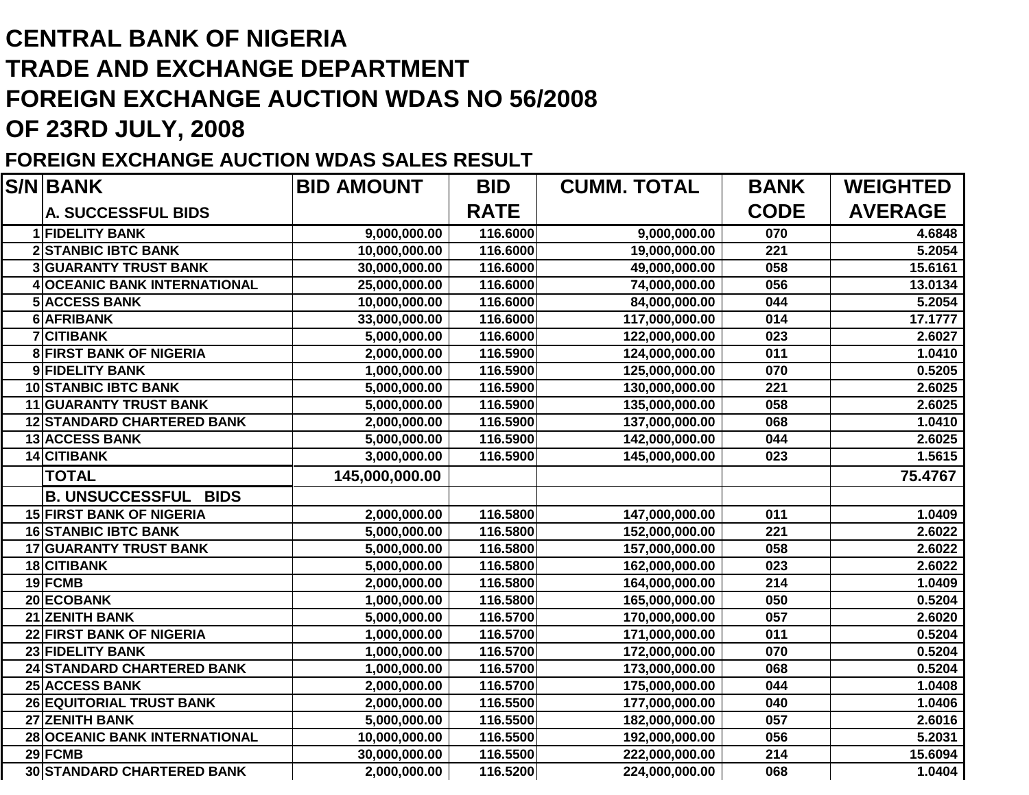## **CENTRAL BANK OF NIGERIA TRADE AND EXCHANGE DEPARTMENT FOREIGN EXCHANGE AUCTION WDAS NO 56/2008OF 23RD JULY, 2008**

## **FOREIGN EXCHANGE AUCTION WDAS SALES RESULT**

| <b>S/N BANK</b>                     | <b>BID AMOUNT</b> | <b>CUMM. TOTAL</b><br><b>BID</b> |                | <b>BANK</b> | <b>WEIGHTED</b> |
|-------------------------------------|-------------------|----------------------------------|----------------|-------------|-----------------|
| A. SUCCESSFUL BIDS                  |                   | <b>RATE</b>                      |                | <b>CODE</b> | <b>AVERAGE</b>  |
| 1 FIDELITY BANK                     | 9,000,000.00      | 116.6000                         | 9,000,000.00   | 070         | 4.6848          |
| <b>2 STANBIC IBTC BANK</b>          | 10,000,000.00     | 116.6000                         | 19,000,000.00  | 221         | 5.2054          |
| <b>3 GUARANTY TRUST BANK</b>        | 30,000,000.00     | 116.6000                         | 49,000,000.00  | 058         | 15.6161         |
| <b>4 OCEANIC BANK INTERNATIONAL</b> | 25,000,000.00     | 116.6000                         | 74,000,000.00  | 056         | 13.0134         |
| <b>5 ACCESS BANK</b>                | 10,000,000.00     | 116.6000                         | 84,000,000.00  | 044         | 5.2054          |
| 6 AFRIBANK                          | 33,000,000.00     | 116.6000                         | 117,000,000.00 | 014         | 17.1777         |
| <b>CITIBANK</b>                     | 5,000,000.00      | 116.6000                         | 122,000,000.00 | 023         | 2.6027          |
| <b>8 FIRST BANK OF NIGERIA</b>      | 2,000,000.00      | 116.5900                         | 124,000,000.00 | 011         | 1.0410          |
| 9 FIDELITY BANK                     | 1,000,000.00      | 116.5900                         | 125,000,000.00 | 070         | 0.5205          |
| <b>10 STANBIC IBTC BANK</b>         | 5,000,000.00      | 116.5900                         | 130,000,000.00 | 221         | 2.6025          |
| 11 GUARANTY TRUST BANK              | 5,000,000.00      | 116.5900                         | 135,000,000.00 | 058         | 2.6025          |
| <b>12 STANDARD CHARTERED BANK</b>   | 2,000,000.00      | 116.5900                         | 137,000,000.00 | 068         | 1.0410          |
| <b>13 ACCESS BANK</b>               | 5,000,000.00      | 116.5900                         | 142,000,000.00 | 044         | 2.6025          |
| 14 CITIBANK                         | 3,000,000.00      | 116.5900                         | 145,000,000.00 | 023         | 1.5615          |
| <b>TOTAL</b>                        | 145,000,000.00    |                                  |                |             | 75.4767         |
| <b>B. UNSUCCESSFUL BIDS</b>         |                   |                                  |                |             |                 |
| <b>15 FIRST BANK OF NIGERIA</b>     | 2,000,000.00      | 116.5800                         | 147,000,000.00 | 011         | 1.0409          |
| <b>16 STANBIC IBTC BANK</b>         | 5,000,000.00      | 116.5800                         | 152,000,000.00 | 221         | 2.6022          |
| 17 GUARANTY TRUST BANK              | 5,000,000.00      | 116.5800                         | 157,000,000.00 | 058         | 2.6022          |
| 18 CITIBANK                         | 5,000,000.00      | 116.5800                         | 162,000,000.00 | 023         | 2.6022          |
| 19 FCMB                             | 2,000,000.00      | 116.5800                         | 164,000,000.00 | 214         | 1.0409          |
| 20 ECOBANK                          | 1,000,000.00      | 116.5800                         | 165,000,000.00 | 050         | 0.5204          |
| 21 ZENITH BANK                      | 5,000,000.00      | 116.5700                         | 170,000,000.00 | 057         | 2.6020          |
| <b>22 FIRST BANK OF NIGERIA</b>     | 1,000,000.00      | 116.5700                         | 171,000,000.00 | 011         | 0.5204          |
| 23 FIDELITY BANK                    | 1,000,000.00      | 116.5700                         | 172,000,000.00 | 070         | 0.5204          |
| 24 STANDARD CHARTERED BANK          | 1,000,000.00      | 116.5700                         | 173,000,000.00 | 068         | 0.5204          |
| <b>25 ACCESS BANK</b>               | 2,000,000.00      | 116.5700                         | 175,000,000.00 | 044         | 1.0408          |
| 26 EQUITORIAL TRUST BANK            | 2,000,000.00      | 116.5500                         | 177,000,000.00 | 040         | 1.0406          |
| 27 ZENITH BANK                      | 5,000,000.00      | 116.5500                         | 182,000,000.00 | 057         | 2.6016          |
| 28 OCEANIC BANK INTERNATIONAL       | 10,000,000.00     | 116.5500                         | 192,000,000.00 | 056         | 5.2031          |
| 29 FCMB                             | 30,000,000.00     | 116.5500                         | 222,000,000.00 | 214         | 15.6094         |
| 30 STANDARD CHARTERED BANK          | 2,000,000.00      | 116.5200                         | 224,000,000.00 | 068         | 1.0404          |